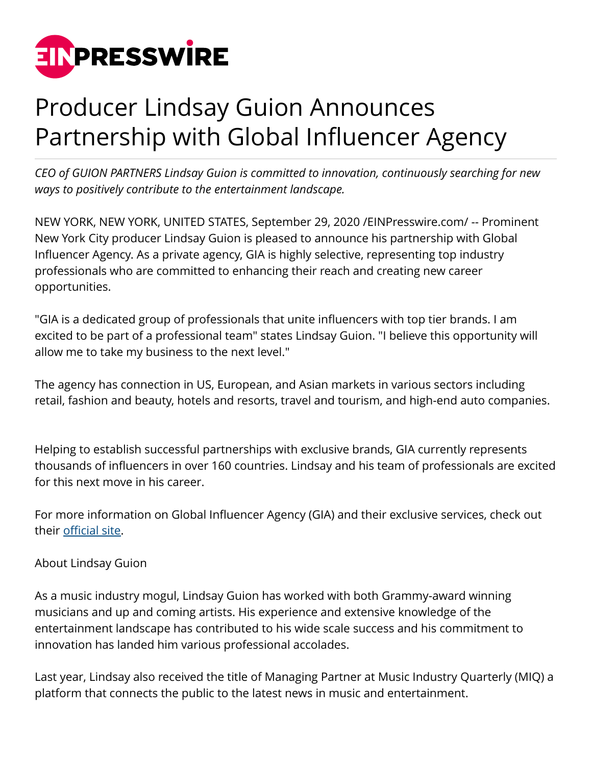

## Producer Lindsay Guion Announces Partnership with Global Influencer Agency

*CEO of GUION PARTNERS Lindsay Guion is committed to innovation, continuously searching for new ways to positively contribute to the entertainment landscape.* 

NEW YORK, NEW YORK, UNITED STATES, September 29, 2020 /[EINPresswire.com](http://www.einpresswire.com)/ -- Prominent New York City producer Lindsay Guion is pleased to announce his partnership with Global Influencer Agency. As a private agency, GIA is highly selective, representing top industry professionals who are committed to enhancing their reach and creating new career opportunities.

"GIA is a dedicated group of professionals that unite influencers with top tier brands. I am excited to be part of a professional team" states Lindsay Guion. "I believe this opportunity will allow me to take my business to the next level."

The agency has connection in US, European, and Asian markets in various sectors including retail, fashion and beauty, hotels and resorts, travel and tourism, and high-end auto companies.

Helping to establish successful partnerships with exclusive brands, GIA currently represents thousands of influencers in over 160 countries. Lindsay and his team of professionals are excited for this next move in his career.

For more information on Global Influencer Agency (GIA) and their exclusive services, check out their [official site.](https://globalinfluenceragency.com/)

## About Lindsay Guion

As a music industry mogul, Lindsay Guion has worked with both Grammy-award winning musicians and up and coming artists. His experience and extensive knowledge of the entertainment landscape has contributed to his wide scale success and his commitment to innovation has landed him various professional accolades.

Last year, Lindsay also received the title of Managing Partner at Music Industry Quarterly (MIQ) a platform that connects the public to the latest news in music and entertainment.